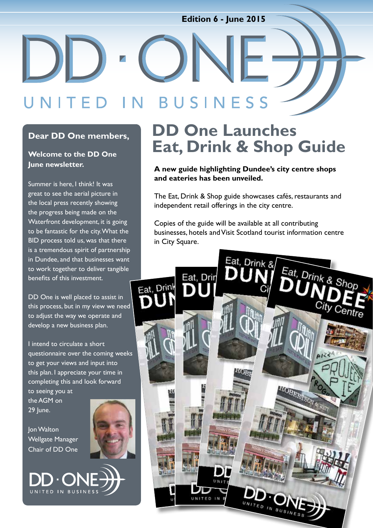### **Edition 6 - June 2015**

### BUSINESS TED IN

#### **Dear DD One members,**

#### **Welcome to the DD One June newsletter.**

Summer is here, I think! It was great to see the aerial picture in the local press recently showing the progress being made on the Waterfront development, it is going to be fantastic for the city. What the BID process told us, was that there is a tremendous spirit of partnership in Dundee, and that businesses want to work together to deliver tangible benefits of this investment.

DD One is well placed to assist in this process, but in my view we need to adjust the way we operate and develop a new business plan.

I intend to circulate a short questionnaire over the coming weeks to get your views and input into this plan. I appreciate your time in completing this and look forward to seeing you at

the AGM on 29 June.

Jon Walton Wellgate Manager Chair of DD One

UNITED IN BUSINES



## **DD One Launches Eat, Drink & Shop Guide**

#### **A new guide highlighting Dundee's city centre shops and eateries has been unveiled.**

The Eat, Drink & Shop guide showcases cafés, restaurants and independent retail offerings in the city centre.

Copies of the guide will be available at all contributing businesses, hotels and Visit Scotland tourist information centre in City Square.

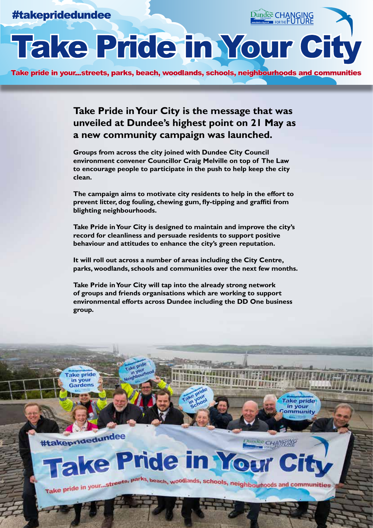### #takepridedundee

# Take Pride in Your City

Take pride in your...streets, parks, beach, woodlands, schools, neighbourhoods and communities

**Take Pride in Your City is the message that was unveiled at Dundee's highest point on 21 May as a new community campaign was launched.**

**Groups from across the city joined with Dundee City Council environment convener Councillor Craig Melville on top of The Law to encourage people to participate in the push to help keep the city clean.**

**The campaign aims to motivate city residents to help in the effort to prevent litter, dog fouling, chewing gum, fly-tipping and graffiti from blighting neighbourhoods.**

**Take Pride in Your City is designed to maintain and improve the city's record for cleanliness and persuade residents to support positive behaviour and attitudes to enhance the city's green reputation.**

**It will roll out across a number of areas including the City Centre, parks, woodlands, schools and communities over the next few months.**

**Take Pride in Your City will tap into the already strong network of groups and friends organisations which are working to support environmental efforts across Dundee including the DD One business group.**

#takepridedundee

**Take pride** in your Gardens

Dundee CHAN

**Take pride** in your ommunity

Dundee CHANGING

## **Take Pride in Your** Take pride in your...streets, parks, beach, woodlands, schools, neighbourhoods and communities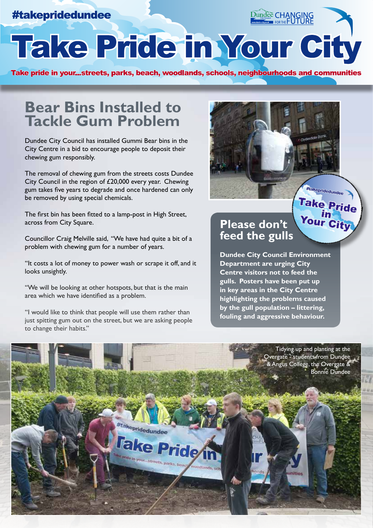### #takepridedundee

Dundee CHANGING

Take Pride in Your City

Take pride in your...streets, parks, beach, woodlands, schools, neighbourhoods and communities

### **Bear Bins Installed to Tackle Gum Problem**

Dundee City Council has installed Gummi Bear bins in the City Centre in a bid to encourage people to deposit their chewing gum responsibly.

The removal of chewing gum from the streets costs Dundee City Council in the region of £20,000 every year. Chewing gum takes five years to degrade and once hardened can only be removed by using special chemicals.

The first bin has been fitted to a lamp-post in High Street, across from City Square.

Councillor Craig Melville said, ''We have had quite a bit of a problem with chewing gum for a number of years.

''It costs a lot of money to power wash or scrape it off, and it looks unsightly.

''We will be looking at other hotspots, but that is the main area which we have identified as a problem.

"I would like to think that people will use them rather than just spitting gum out on the street, but we are asking people to change their habits.''



### Take Pride **Please don't feed the gulls**

**Dundee City Council Environment Department are urging City Centre visitors not to feed the gulls. Posters have been put up in key areas in the City Centre highlighting the problems caused by the gull population – littering, fouling and aggressive behaviour.**

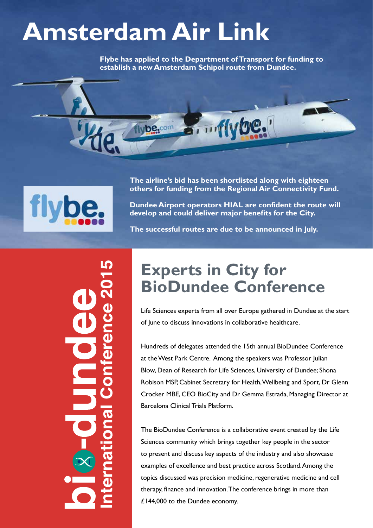## **Amsterdam Air Link**

be.com

**Flybe has applied to the Department of Transport for funding to establish a new Amsterdam Schipol route from Dundee.**



**The airline's bid has been shortlisted along with eighteen others for funding from the Regional Air Connectivity Fund.** 

**Dundee Airport operators HIAL are confident the route will develop and could deliver major benefits for the City.**

**The successful routes are due to be announced in July.**

## **Experts in City for BioDundee Conference**

Life Sciences experts from all over Europe gathered in Dundee at the start of June to discuss innovations in collaborative healthcare.

Hundreds of delegates attended the 15th annual BioDundee Conference at the West Park Centre. Among the speakers was Professor Julian Blow, Dean of Research for Life Sciences, University of Dundee; Shona Robison MSP, Cabinet Secretary for Health, Wellbeing and Sport, Dr Glenn Crocker MBE, CEO BioCity and Dr Gemma Estrada, Managing Director at Barcelona Clinical Trials Platform.

The BioDundee Conference is a collaborative event created by the Life Sciences community which brings together key people in the sector to present and discuss key aspects of the industry and also showcase examples of excellence and best practice across Scotland. Among the topics discussed was precision medicine, regenerative medicine and cell therapy, finance and innovation. The conference brings in more than £144,000 to the Dundee economy.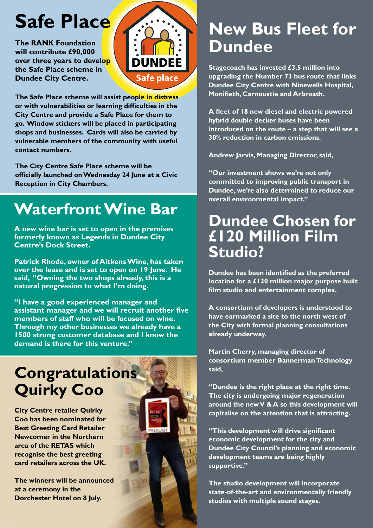## **Safe Place**

**The RANK Foundation will contribute £90,000 over three years to develop the Safe Place scheme in Dundee City Centre.** 



**The Safe Place scheme will assist people in distress or with vulnerabilities or learning difficulties in the City Centre and provide a Safe Place for them to go. Window stickers will be placed in participating shops and businesses. Cards will also be carried by vulnerable members of the community with useful contact numbers.**

**The City Centre Safe Place scheme will be officially launched on Wednesday 24 June at a Civic Reception in City Chambers.** 

## **Waterfront Wine Bar**

**A new wine bar is set to open in the premises formerly known as Legends in Dundee City Centre's Dock Street.**

**Patrick Rhode, owner of Aitkens Wine, has taken over the lease and is set to open on 19 June. He said, ''Owning the two shops already, this is a natural progression to what I'm doing.** 

**''I have a good experienced manager and assistant manager and we will recruit another five members of staff who will be focused on wine. Through my other businesses we already have a 1500 strong customer database and I know the demand is there for this venture.''**

## **Congratulations Quirky Coo**

**City Centre retailer Quirky Coo has been nominated for Best Greeting Card Retailer Newcomer in the Northern area of the RETAS which recognise the best greeting card retailers across the UK.** 

**The winners will be announced at a ceremony in the Dorchester Hotel on 8 July.** 



## **New Bus Fleet for Dundee**

**Stagecoach has invested £3.5 million into upgrading the Number 73 bus route that links Dundee City Centre with Ninewells Hospital, Monifieth, Carnoustie and Arbroath.**

**A fleet of 18 new diesel and electric powered hybrid double decker buses have been introduced on the route – a step that will see a 30% reduction in carbon emissions.**

**Andrew Jarvis, Managing Director, said,**

**''Our investment shows we're not only committed to improving public transport in Dundee, we're also determined to reduce our overall environmental impact.''**

### **Dundee Chosen for £120 Million Film Studio?**

**Dundee has been identified as the preferred location for a £120 million major purpose built film studio and entertainment complex.**

**A consortium of developers is understood to have earmarked a site to the north west of the City with formal planning consultations already underway.**

**Martin Cherry, managing director of consortium member Bannerman Technology said,** 

**''Dundee is the right place at the right time. The city is undergoing major regeneration around the new V & A so this development will capitalise on the attention that is attracting.**

**''This development will drive significant economic development for the city and Dundee City Council's planning and economic development teams are being highly supportive.''**

**The studio development will incorporate state-of-the-art and environmentally friendly studios with multiple sound stages.**